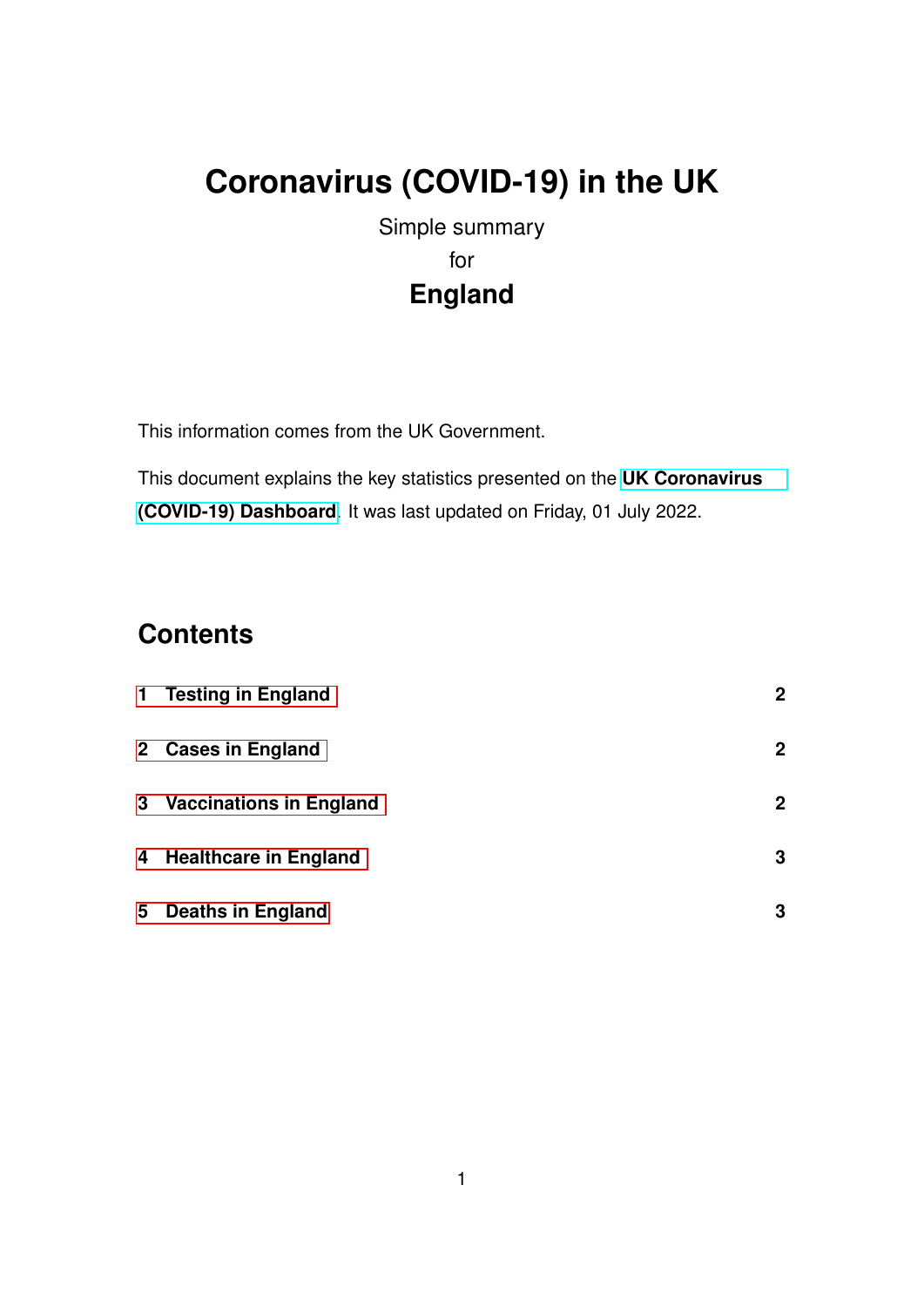# **Coronavirus (COVID-19) in the UK**

Simple summary for **England**

This information comes from the UK Government.

This document explains the key statistics presented on the **[UK Coronavirus](https://coronavirus.data.gov.uk) [\(COVID-19\) Dashboard](https://coronavirus.data.gov.uk)**. It was last updated on Friday, 01 July 2022.

## **Contents**

|   | 1 Testing in England      | $\mathbf{2}$ |
|---|---------------------------|--------------|
|   | 2 Cases in England        | $\mathbf{2}$ |
|   | 3 Vaccinations in England | $\mathbf{2}$ |
|   | 4 Healthcare in England   | 3            |
| 5 | <b>Deaths in England</b>  | 3            |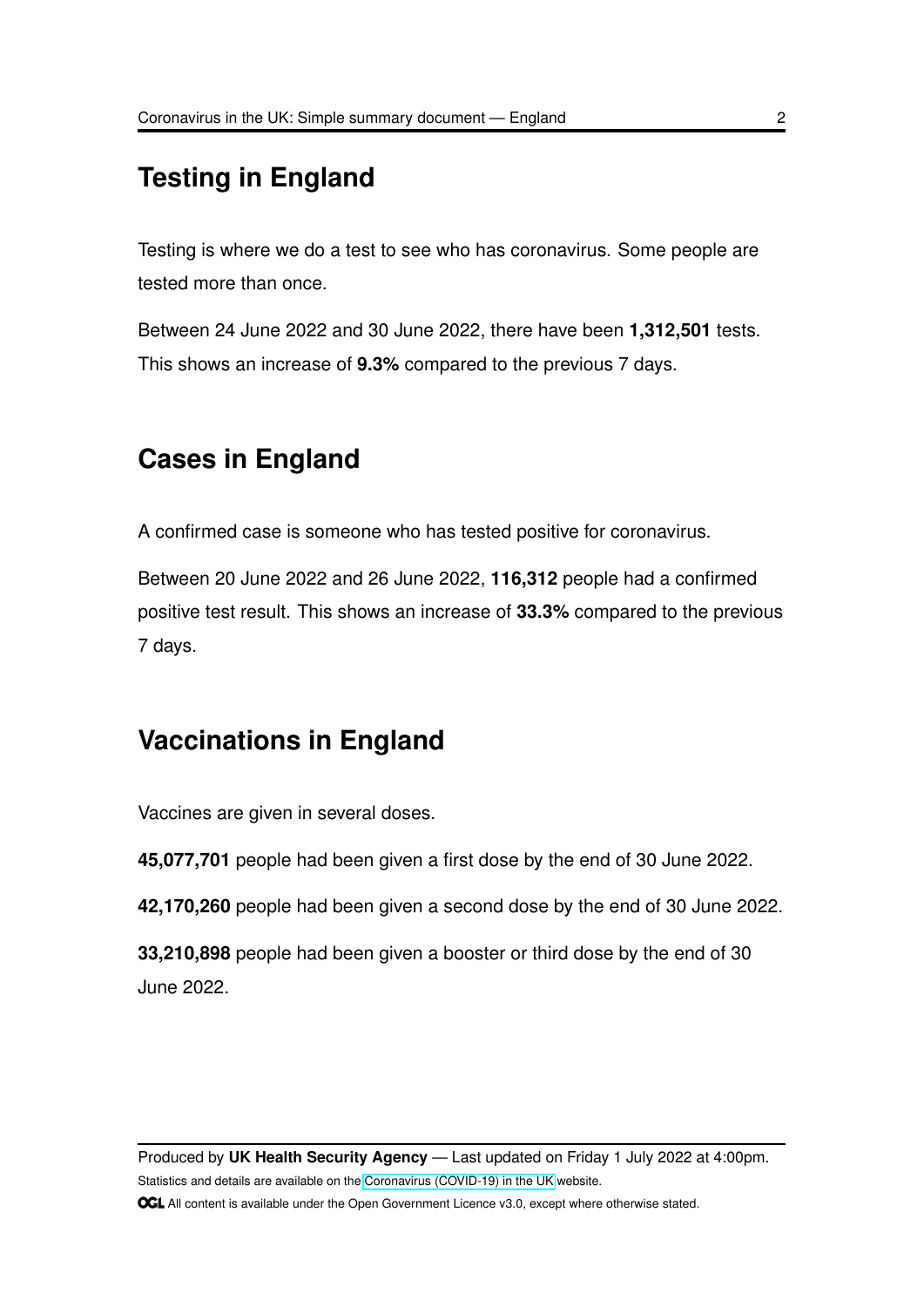#### <span id="page-1-0"></span>**Testing in England**

Testing is where we do a test to see who has coronavirus. Some people are tested more than once.

Between 24 June 2022 and 30 June 2022, there have been **1,312,501** tests. This shows an increase of **9.3%** compared to the previous 7 days.

# <span id="page-1-1"></span>**Cases in England**

A confirmed case is someone who has tested positive for coronavirus.

Between 20 June 2022 and 26 June 2022, **116,312** people had a confirmed positive test result. This shows an increase of **33.3%** compared to the previous 7 days.

#### <span id="page-1-2"></span>**Vaccinations in England**

Vaccines are given in several doses.

**45,077,701** people had been given a first dose by the end of 30 June 2022.

**42,170,260** people had been given a second dose by the end of 30 June 2022.

**33,210,898** people had been given a booster or third dose by the end of 30 June 2022.

Produced by **UK Health Security Agency** — Last updated on Friday 1 July 2022 at 4:00pm. Statistics and details are available on the [Coronavirus \(COVID-19\) in the UK](https://coronavirus.data.gov.uk) website. **OGL** All content is available under the Open Government Licence v3.0, except where otherwise stated.